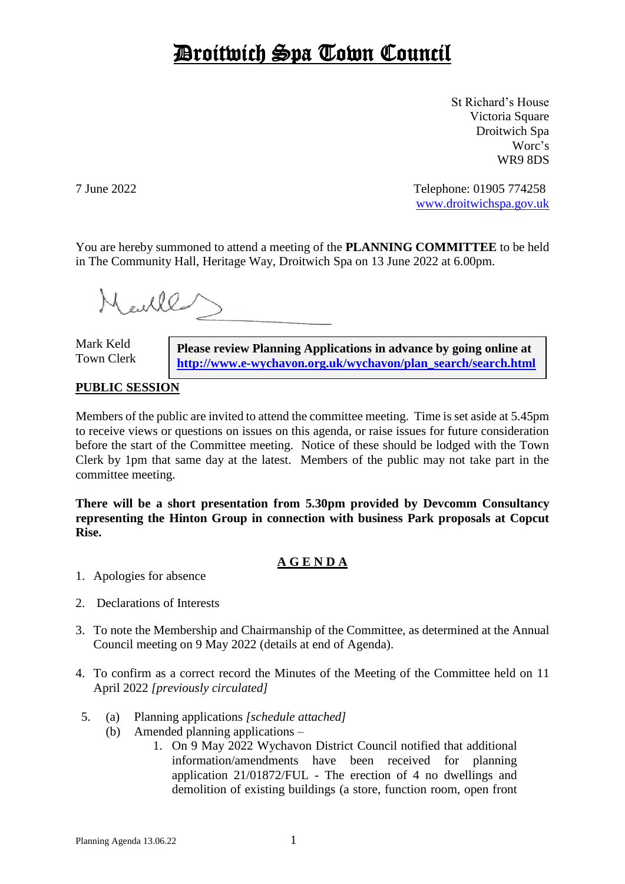## Droitwich Spa Town Council

St Richard's House Victoria Square Droitwich Spa Worc's WR9 8DS

7 June 2022 Telephone: 01905 774258 [www.droitwichspa.gov.uk](http://www.droitwichspa.gov.uk/)

You are hereby summoned to attend a meeting of the **PLANNING COMMITTEE** to be held in The Community Hall, Heritage Way, Droitwich Spa on 13 June 2022 at 6.00pm.

Mauller

Mark Keld Town Clerk

**Please review Planning Applications in advance by going online at [http://www.e-wychavon.org.uk/wychavon/plan\\_search/search.html](http://www.e-wychavon.org.uk/wychavon/plan_search/search.html)**

## **PUBLIC SESSION**

Members of the public are invited to attend the committee meeting. Time is set aside at 5.45pm to receive views or questions on issues on this agenda, or raise issues for future consideration before the start of the Committee meeting. Notice of these should be lodged with the Town Clerk by 1pm that same day at the latest. Members of the public may not take part in the committee meeting.

**There will be a short presentation from 5.30pm provided by Devcomm Consultancy representing the Hinton Group in connection with business Park proposals at Copcut Rise.**

## **A G E N D A**

- 1. Apologies for absence
- 2. Declarations of Interests
- 3. To note the Membership and Chairmanship of the Committee, as determined at the Annual Council meeting on 9 May 2022 (details at end of Agenda).
- 4. To confirm as a correct record the Minutes of the Meeting of the Committee held on 11 April 2022 *[previously circulated]*
- 5. (a) Planning applications *[schedule attached]*
	- (b) Amended planning applications
		- 1. On 9 May 2022 Wychavon District Council notified that additional information/amendments have been received for planning application 21/01872/FUL - The erection of 4 no dwellings and demolition of existing buildings (a store, function room, open front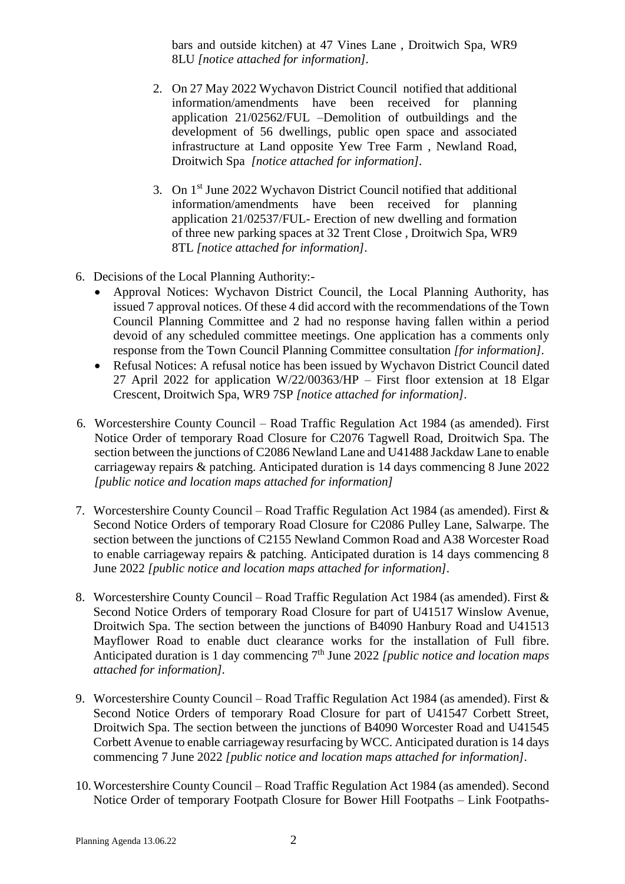bars and outside kitchen) at 47 Vines Lane , Droitwich Spa, WR9 8LU *[notice attached for information].*

- 2. On 27 May 2022 Wychavon District Council notified that additional information/amendments have been received for planning application 21/02562/FUL –Demolition of outbuildings and the development of 56 dwellings, public open space and associated infrastructure at Land opposite Yew Tree Farm , Newland Road, Droitwich Spa *[notice attached for information].*
- 3. On 1st June 2022 Wychavon District Council notified that additional information/amendments have been received for planning application 21/02537/FUL- Erection of new dwelling and formation of three new parking spaces at 32 Trent Close , Droitwich Spa, WR9 8TL *[notice attached for information].*
- 6. Decisions of the Local Planning Authority:-
	- Approval Notices: Wychavon District Council, the Local Planning Authority, has issued 7 approval notices. Of these 4 did accord with the recommendations of the Town Council Planning Committee and 2 had no response having fallen within a period devoid of any scheduled committee meetings. One application has a comments only response from the Town Council Planning Committee consultation *[for information].*
	- Refusal Notices: A refusal notice has been issued by Wychavon District Council dated 27 April 2022 for application W/22/00363/HP – First floor extension at 18 Elgar Crescent, Droitwich Spa, WR9 7SP *[notice attached for information].*
- 6. Worcestershire County Council Road Traffic Regulation Act 1984 (as amended). First Notice Order of temporary Road Closure for C2076 Tagwell Road, Droitwich Spa. The section between the junctions of C2086 Newland Lane and U41488 Jackdaw Lane to enable carriageway repairs & patching. Anticipated duration is 14 days commencing 8 June 2022 *[public notice and location maps attached for information]*
- 7. Worcestershire County Council Road Traffic Regulation Act 1984 (as amended). First & Second Notice Orders of temporary Road Closure for C2086 Pulley Lane, Salwarpe. The section between the junctions of C2155 Newland Common Road and A38 Worcester Road to enable carriageway repairs & patching. Anticipated duration is 14 days commencing 8 June 2022 *[public notice and location maps attached for information].*
- 8. Worcestershire County Council Road Traffic Regulation Act 1984 (as amended). First & Second Notice Orders of temporary Road Closure for part of U41517 Winslow Avenue, Droitwich Spa. The section between the junctions of B4090 Hanbury Road and U41513 Mayflower Road to enable duct clearance works for the installation of Full fibre. Anticipated duration is 1 day commencing 7th June 2022 *[public notice and location maps attached for information].*
- 9. Worcestershire County Council Road Traffic Regulation Act 1984 (as amended). First & Second Notice Orders of temporary Road Closure for part of U41547 Corbett Street, Droitwich Spa. The section between the junctions of B4090 Worcester Road and U41545 Corbett Avenue to enable carriageway resurfacing by WCC. Anticipated duration is 14 days commencing 7 June 2022 *[public notice and location maps attached for information].*
- 10. Worcestershire County Council Road Traffic Regulation Act 1984 (as amended). Second Notice Order of temporary Footpath Closure for Bower Hill Footpaths – Link Footpaths-